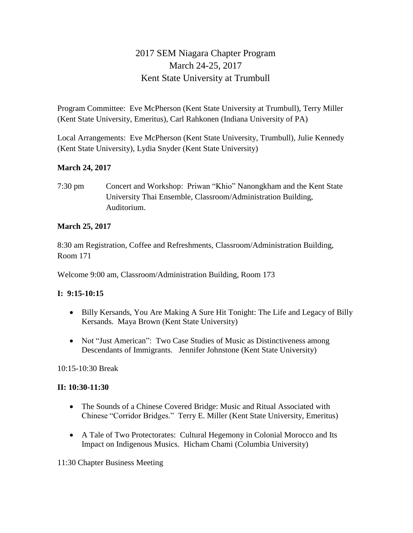# 2017 SEM Niagara Chapter Program March 24-25, 2017 Kent State University at Trumbull

Program Committee: Eve McPherson (Kent State University at Trumbull), Terry Miller (Kent State University, Emeritus), Carl Rahkonen (Indiana University of PA)

Local Arrangements: Eve McPherson (Kent State University, Trumbull), Julie Kennedy (Kent State University), Lydia Snyder (Kent State University)

## **March 24, 2017**

7:30 pm Concert and Workshop: Priwan "Khio" Nanongkham and the Kent State University Thai Ensemble, Classroom/Administration Building, Auditorium.

## **March 25, 2017**

8:30 am Registration, Coffee and Refreshments, Classroom/Administration Building, Room 171

Welcome 9:00 am, Classroom/Administration Building, Room 173

## **I: 9:15-10:15**

- Billy Kersands, You Are Making A Sure Hit Tonight: The Life and Legacy of Billy Kersands. Maya Brown (Kent State University)
- Not "Just American": Two Case Studies of Music as Distinctiveness among Descendants of Immigrants. Jennifer Johnstone (Kent State University)

10:15-10:30 Break

## **II: 10:30-11:30**

- The Sounds of a Chinese Covered Bridge: Music and Ritual Associated with Chinese "Corridor Bridges." Terry E. Miller (Kent State University, Emeritus)
- A Tale of Two Protectorates: Cultural Hegemony in Colonial Morocco and Its Impact on Indigenous Musics. Hicham Chami (Columbia University)

11:30 Chapter Business Meeting